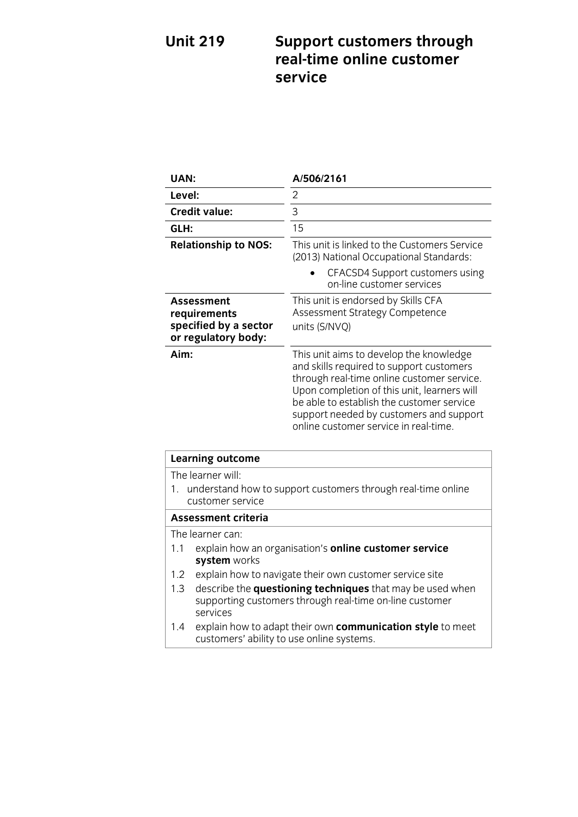# **Unit 219 Support customers through**  service

| UAN:                                                                       | A/506/2161                                                                                                                                                                                                                                                                                                        |
|----------------------------------------------------------------------------|-------------------------------------------------------------------------------------------------------------------------------------------------------------------------------------------------------------------------------------------------------------------------------------------------------------------|
| Level:                                                                     | 2                                                                                                                                                                                                                                                                                                                 |
| <b>Credit value:</b>                                                       | 3                                                                                                                                                                                                                                                                                                                 |
| GLH:                                                                       | 15                                                                                                                                                                                                                                                                                                                |
| <b>Relationship to NOS:</b>                                                | This unit is linked to the Customers Service<br>(2013) National Occupational Standards:                                                                                                                                                                                                                           |
|                                                                            | CFACSD4 Support customers using<br>on-line customer services                                                                                                                                                                                                                                                      |
| Assessment<br>requirements<br>specified by a sector<br>or regulatory body: | This unit is endorsed by Skills CFA<br>Assessment Strategy Competence<br>units (S/NVQ)                                                                                                                                                                                                                            |
| Aim:                                                                       | This unit aims to develop the knowledge<br>and skills required to support customers<br>through real-time online customer service.<br>Upon completion of this unit, learners will<br>be able to establish the customer service<br>support needed by customers and support<br>online customer service in real-time. |

| <b>Learning outcome</b>                                                                                                                 |  |
|-----------------------------------------------------------------------------------------------------------------------------------------|--|
| The learner will:                                                                                                                       |  |
| 1. understand how to support customers through real-time online<br>customer service                                                     |  |
| <b>Assessment criteria</b>                                                                                                              |  |
| The learner can:                                                                                                                        |  |
| explain how an organisation's <b>online customer service</b><br>1.1<br>system works                                                     |  |
| explain how to navigate their own customer service site<br>1.2                                                                          |  |
| describe the questioning techniques that may be used when<br>1.3<br>supporting customers through real-time on-line customer<br>services |  |
| explain how to adapt their own communication style to meet<br>$1.4^{\circ}$<br>customers' ability to use online systems.                |  |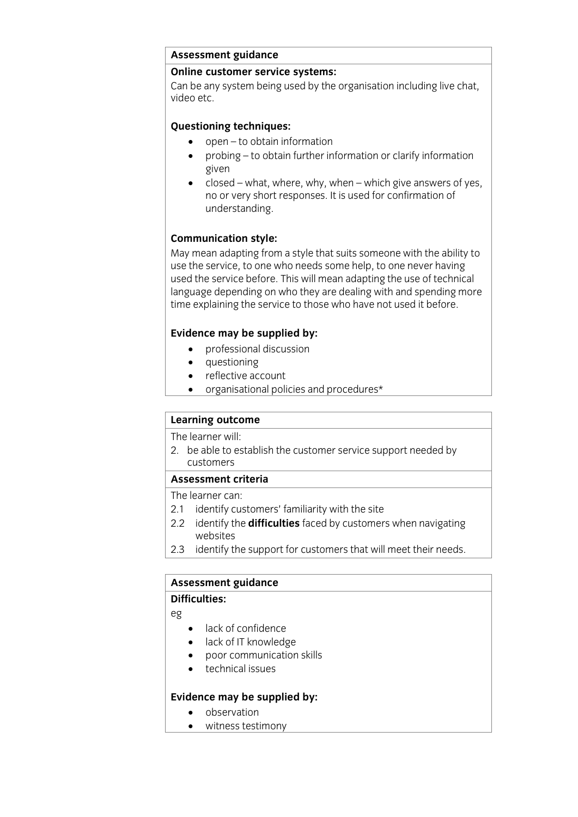# **Assessment guidance**

Can be any system being used by the organisation including live chat. video etc.

- **o** open to obtain information
	- probing to obtain further information or clarify information
	- $\frac{1}{2}$  closed what, where, why, when which give answers of yes, no or very short responses. It is used for confirmation of no or very short responses. It is used for confirmation of understanding.

**Communication style:**<br>May mean adapting from a style that suits someone with the ability to use the service, to one who needs some help, to one never having used the service before. This will mean adapting the use of technical language depending on who they are dealing with and spending more time explaining the service to those who have not used it before. time explaining the service to those who have not used it before.

- **Evidence may be supplied by:**<br> **e** professional discussion
	- questioning
	- reflective account
	- organisational policies and procedures\*

## **Learning outcome**<br>The learner will:

The learner will<br>2 bo ablo to or 2. between the customers service support needed by  $\frac{1}{2}$  support needed by  $\frac{1}{2}$  support needed by  $\frac{1}{2}$  support needed by  $\frac{1}{2}$  support needed by  $\frac{1}{2}$  support needed by  $\frac{1}{2}$  support needed by  $\frac$ customers<br>Assessment criteria

The learner can:

- 2.1 identify customers' familiarity with the site
- $2.2$  identify the **difficulties** faced by sustance 2.2 identify the **difficulties** faced by customers when navigating websites<br>2.3 identify the support for customers that will meet their needs.
- 2.3 identify the support for customers that will meet their needs.

## **Assessment guidance**

## **DO**

eg

- lack of confidence
- lack of IT knowledge
- poor communication skills
- technical issues

- **Evidence** may be supplied by:
	- witness testimony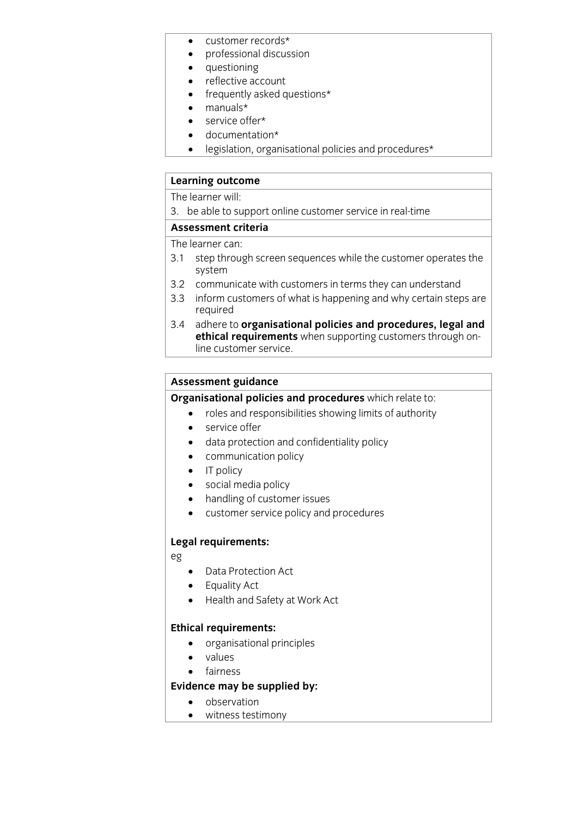- customer records\*
- professional discussion
- questioning
- reflective account
- frequently asked questions\*
- $\bullet$  manuals\*
- service offer\*
- documentation\*
- legislation, organisational policies and procedures\*

## **Learning outcome**<br>The learner will:

3. be able to support online customer service in real-time

## Assessment criteria

The learner can:

- $21$  cton throw 3.1 step through screen sequences while the customer operates the system<br>3.2 communicate with customers in terms they can understand
- 
- 3.2 communicate with customers in terms they can understand 3.3 inform customers of what is happening and why certain steps are
- required<br>3.4 adhere to organisational policies and procedures, legal and **ethical requirements** when supporting customers through online customer service. line customer service.

**Assessment guidance<br>Organisational policies and procedures** which relate to:

- **Crime and responsibilities showing limits of authority**<br> **CORVISE OF** 
	- service offer
	- data protection and confidentiality policy
	- communication policy
	- $\bullet$  IT policy
	- social media policy
	- handling of customer issues
	- customer service policy and procedures

## **Legal requirements:**

eg

- Data Protection Act
- Equality Act
- Health and Safety at Work Act

- **Ethical requirements:**<br> **•** organisational principles
	- values
	-

## • fairness<br>Evidence may be supplied by:

- **Evidence** may be supplied by:<br> **Evidence** may be supplied by:
	- witness testimony